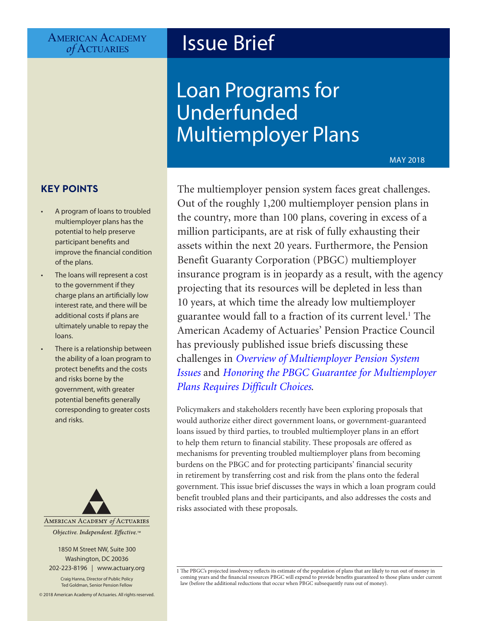# AMERICAN ACADEMY<br> *of* ACTUARIES

# **Issue Brief**

# Loan Programs for Underfunded Multiemployer Plans

MAY 2018

## **KEY POINTS**

- A program of loans to troubled multiemployer plans has the potential to help preserve participant benefits and improve the financial condition of the plans.
- The loans will represent a cost to the government if they charge plans an artificially low interest rate, and there will be additional costs if plans are ultimately unable to repay the loans.
- There is a relationship between the ability of a loan program to protect benefits and the costs and risks borne by the government, with greater potential benefits generally corresponding to greater costs and risks.



1850 M Street NW, Suite 300 Washington, DC 20036 202-223-8196 | [www.actuary.org](http://www.actuary.org)

Craig Hanna, Director of Public Policy Ted Goldman, Senior Pension Fellow

© 2018 American Academy of Actuaries. All rights reserved.

The multiemployer pension system faces great challenges. Out of the roughly 1,200 multiemployer pension plans in the country, more than 100 plans, covering in excess of a million participants, are at risk of fully exhausting their assets within the next 20 years. Furthermore, the Pension Benefit Guaranty Corporation (PBGC) multiemployer insurance program is in jeopardy as a result, with the agency projecting that its resources will be depleted in less than 10 years, at which time the already low multiemployer guarantee would fall to a fraction of its current level.<sup>1</sup> The American Academy of Actuaries' Pension Practice Council has previously published issue briefs discussing these challenges in *[Overview of Multiemployer Pension System](https://www.actuary.org/files/publications/IB-Multiemployer.06.27.2017.pdf)  [Issues](https://www.actuary.org/files/publications/IB-Multiemployer.06.27.2017.pdf)* and *[Honoring the PBGC Guarantee for Multiemployer](https://www.actuary.org/files/publications/PBGCissuebrief10.20.16.pdf)  [Plans Requires Difficult Choices](https://www.actuary.org/files/publications/PBGCissuebrief10.20.16.pdf)*.

Policymakers and stakeholders recently have been exploring proposals that would authorize either direct government loans, or government-guaranteed loans issued by third parties, to troubled multiemployer plans in an effort to help them return to financial stability. These proposals are offered as mechanisms for preventing troubled multiemployer plans from becoming burdens on the PBGC and for protecting participants' financial security in retirement by transferring cost and risk from the plans onto the federal government. This issue brief discusses the ways in which a loan program could benefit troubled plans and their participants, and also addresses the costs and risks associated with these proposals.

<sup>1</sup> The PBGC's projected insolvency reflects its estimate of the population of plans that are likely to run out of money in coming years and the financial resources PBGC will expend to provide benefits guaranteed to those plans under current law (before the additional reductions that occur when PBGC subsequently runs out of money).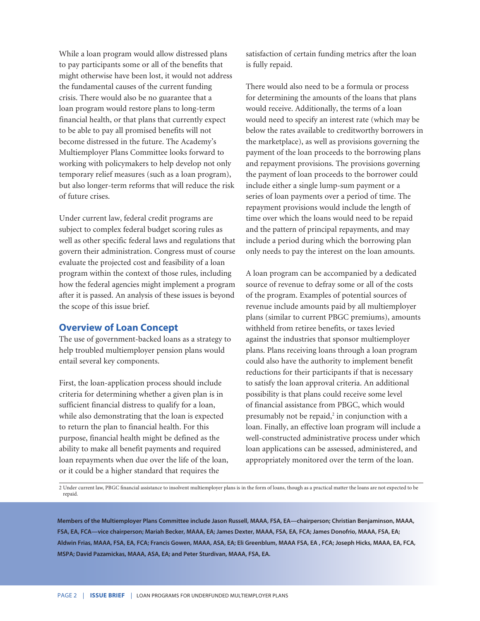While a loan program would allow distressed plans to pay participants some or all of the benefits that might otherwise have been lost, it would not address the fundamental causes of the current funding crisis. There would also be no guarantee that a loan program would restore plans to long-term financial health, or that plans that currently expect to be able to pay all promised benefits will not become distressed in the future. The Academy's Multiemployer Plans Committee looks forward to working with policymakers to help develop not only temporary relief measures (such as a loan program), but also longer-term reforms that will reduce the risk of future crises.

Under current law, federal credit programs are subject to complex federal budget scoring rules as well as other specific federal laws and regulations that govern their administration. Congress must of course evaluate the projected cost and feasibility of a loan program within the context of those rules, including how the federal agencies might implement a program after it is passed. An analysis of these issues is beyond the scope of this issue brief.

#### **Overview of Loan Concept**

The use of government-backed loans as a strategy to help troubled multiemployer pension plans would entail several key components.

First, the loan-application process should include criteria for determining whether a given plan is in sufficient financial distress to qualify for a loan, while also demonstrating that the loan is expected to return the plan to financial health. For this purpose, financial health might be defined as the ability to make all benefit payments and required loan repayments when due over the life of the loan, or it could be a higher standard that requires the

satisfaction of certain funding metrics after the loan is fully repaid.

There would also need to be a formula or process for determining the amounts of the loans that plans would receive. Additionally, the terms of a loan would need to specify an interest rate (which may be below the rates available to creditworthy borrowers in the marketplace), as well as provisions governing the payment of the loan proceeds to the borrowing plans and repayment provisions. The provisions governing the payment of loan proceeds to the borrower could include either a single lump-sum payment or a series of loan payments over a period of time. The repayment provisions would include the length of time over which the loans would need to be repaid and the pattern of principal repayments, and may include a period during which the borrowing plan only needs to pay the interest on the loan amounts.

A loan program can be accompanied by a dedicated source of revenue to defray some or all of the costs of the program. Examples of potential sources of revenue include amounts paid by all multiemployer plans (similar to current PBGC premiums), amounts withheld from retiree benefits, or taxes levied against the industries that sponsor multiemployer plans. Plans receiving loans through a loan program could also have the authority to implement benefit reductions for their participants if that is necessary to satisfy the loan approval criteria. An additional possibility is that plans could receive some level of financial assistance from PBGC, which would presumably not be repaid,<sup>2</sup> in conjunction with a loan. Finally, an effective loan program will include a well-constructed administrative process under which loan applications can be assessed, administered, and appropriately monitored over the term of the loan.

2 Under current law, PBGC financial assistance to insolvent multiemployer plans is in the form of loans, though as a practical matter the loans are not expected to be repaid.

**Members of the Multiemployer Plans Committee include Jason Russell, MAAA, FSA, EA—chairperson; Christian Benjaminson, MAAA, FSA, EA, FCA—vice chairperson; Mariah Becker, MAAA, EA; James Dexter, MAAA, FSA, EA, FCA; James Donofrio, MAAA, FSA, EA; Aldwin Frias, MAAA, FSA, EA, FCA; Francis Gowen, MAAA, ASA, EA; Eli Greenblum, MAAA FSA, EA , FCA; Joseph Hicks, MAAA, EA, FCA, MSPA; David Pazamickas, MAAA, ASA, EA; and Peter Sturdivan, MAAA, FSA, EA.**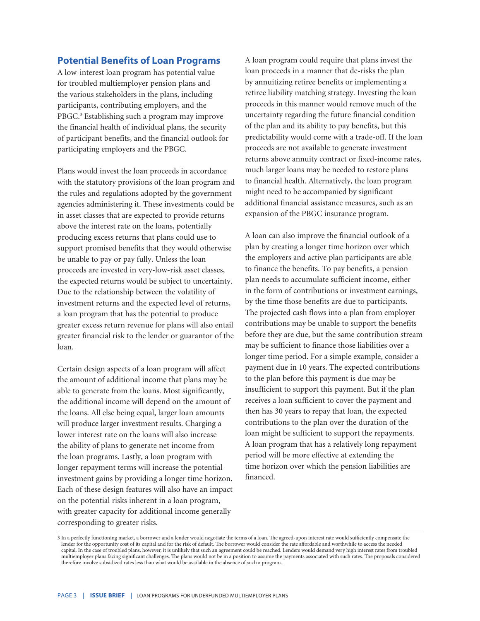#### **Potential Benefits of Loan Programs**

A low-interest loan program has potential value for troubled multiemployer pension plans and the various stakeholders in the plans, including participants, contributing employers, and the PBGC.<sup>3</sup> Establishing such a program may improve the financial health of individual plans, the security of participant benefits, and the financial outlook for participating employers and the PBGC.

Plans would invest the loan proceeds in accordance with the statutory provisions of the loan program and the rules and regulations adopted by the government agencies administering it. These investments could be in asset classes that are expected to provide returns above the interest rate on the loans, potentially producing excess returns that plans could use to support promised benefits that they would otherwise be unable to pay or pay fully. Unless the loan proceeds are invested in very-low-risk asset classes, the expected returns would be subject to uncertainty. Due to the relationship between the volatility of investment returns and the expected level of returns, a loan program that has the potential to produce greater excess return revenue for plans will also entail greater financial risk to the lender or guarantor of the loan.

Certain design aspects of a loan program will affect the amount of additional income that plans may be able to generate from the loans. Most significantly, the additional income will depend on the amount of the loans. All else being equal, larger loan amounts will produce larger investment results. Charging a lower interest rate on the loans will also increase the ability of plans to generate net income from the loan programs. Lastly, a loan program with longer repayment terms will increase the potential investment gains by providing a longer time horizon. Each of these design features will also have an impact on the potential risks inherent in a loan program, with greater capacity for additional income generally corresponding to greater risks.

A loan program could require that plans invest the loan proceeds in a manner that de-risks the plan by annuitizing retiree benefits or implementing a retiree liability matching strategy. Investing the loan proceeds in this manner would remove much of the uncertainty regarding the future financial condition of the plan and its ability to pay benefits, but this predictability would come with a trade-off. If the loan proceeds are not available to generate investment returns above annuity contract or fixed-income rates, much larger loans may be needed to restore plans to financial health. Alternatively, the loan program might need to be accompanied by significant additional financial assistance measures, such as an expansion of the PBGC insurance program.

A loan can also improve the financial outlook of a plan by creating a longer time horizon over which the employers and active plan participants are able to finance the benefits. To pay benefits, a pension plan needs to accumulate sufficient income, either in the form of contributions or investment earnings, by the time those benefits are due to participants. The projected cash flows into a plan from employer contributions may be unable to support the benefits before they are due, but the same contribution stream may be sufficient to finance those liabilities over a longer time period. For a simple example, consider a payment due in 10 years. The expected contributions to the plan before this payment is due may be insufficient to support this payment. But if the plan receives a loan sufficient to cover the payment and then has 30 years to repay that loan, the expected contributions to the plan over the duration of the loan might be sufficient to support the repayments. A loan program that has a relatively long repayment period will be more effective at extending the time horizon over which the pension liabilities are financed.

<sup>3</sup> In a perfectly functioning market, a borrower and a lender would negotiate the terms of a loan. The agreed-upon interest rate would sufficiently compensate the lender for the opportunity cost of its capital and for the risk of default. The borrower would consider the rate affordable and worthwhile to access the needed capital. In the case of troubled plans, however, it is unlikely that such an agreement could be reached. Lenders would demand very high interest rates from troubled multiemployer plans facing significant challenges. The plans would not be in a position to assume the payments associated with such rates. The proposals considered therefore involve subsidized rates less than what would be available in the absence of such a program.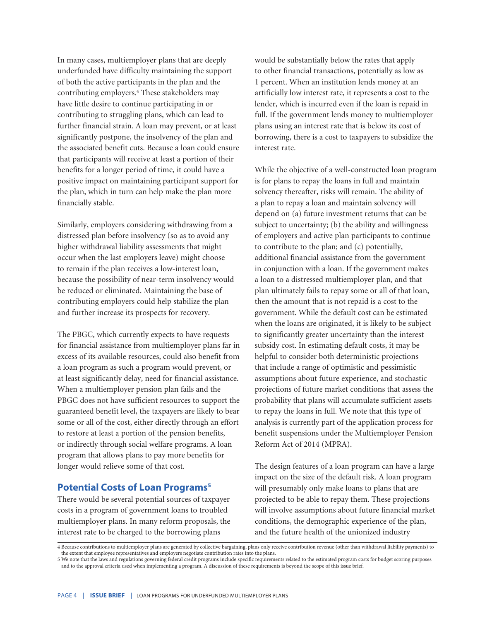In many cases, multiemployer plans that are deeply underfunded have difficulty maintaining the support of both the active participants in the plan and the contributing employers.<sup>4</sup> These stakeholders may have little desire to continue participating in or contributing to struggling plans, which can lead to further financial strain. A loan may prevent, or at least significantly postpone, the insolvency of the plan and the associated benefit cuts. Because a loan could ensure that participants will receive at least a portion of their benefits for a longer period of time, it could have a positive impact on maintaining participant support for the plan, which in turn can help make the plan more financially stable.

Similarly, employers considering withdrawing from a distressed plan before insolvency (so as to avoid any higher withdrawal liability assessments that might occur when the last employers leave) might choose to remain if the plan receives a low-interest loan, because the possibility of near-term insolvency would be reduced or eliminated. Maintaining the base of contributing employers could help stabilize the plan and further increase its prospects for recovery.

The PBGC, which currently expects to have requests for financial assistance from multiemployer plans far in excess of its available resources, could also benefit from a loan program as such a program would prevent, or at least significantly delay, need for financial assistance. When a multiemployer pension plan fails and the PBGC does not have sufficient resources to support the guaranteed benefit level, the taxpayers are likely to bear some or all of the cost, either directly through an effort to restore at least a portion of the pension benefits, or indirectly through social welfare programs. A loan program that allows plans to pay more benefits for longer would relieve some of that cost.

### **Potential Costs of Loan Programs<sup>5</sup>**

There would be several potential sources of taxpayer costs in a program of government loans to troubled multiemployer plans. In many reform proposals, the interest rate to be charged to the borrowing plans

would be substantially below the rates that apply to other financial transactions, potentially as low as 1 percent. When an institution lends money at an artificially low interest rate, it represents a cost to the lender, which is incurred even if the loan is repaid in full. If the government lends money to multiemployer plans using an interest rate that is below its cost of borrowing, there is a cost to taxpayers to subsidize the interest rate.

While the objective of a well-constructed loan program is for plans to repay the loans in full and maintain solvency thereafter, risks will remain. The ability of a plan to repay a loan and maintain solvency will depend on (a) future investment returns that can be subject to uncertainty; (b) the ability and willingness of employers and active plan participants to continue to contribute to the plan; and (c) potentially, additional financial assistance from the government in conjunction with a loan. If the government makes a loan to a distressed multiemployer plan, and that plan ultimately fails to repay some or all of that loan, then the amount that is not repaid is a cost to the government. While the default cost can be estimated when the loans are originated, it is likely to be subject to significantly greater uncertainty than the interest subsidy cost. In estimating default costs, it may be helpful to consider both deterministic projections that include a range of optimistic and pessimistic assumptions about future experience, and stochastic projections of future market conditions that assess the probability that plans will accumulate sufficient assets to repay the loans in full. We note that this type of analysis is currently part of the application process for benefit suspensions under the Multiemployer Pension Reform Act of 2014 (MPRA).

The design features of a loan program can have a large impact on the size of the default risk. A loan program will presumably only make loans to plans that are projected to be able to repay them. These projections will involve assumptions about future financial market conditions, the demographic experience of the plan, and the future health of the unionized industry

<sup>4</sup> Because contributions to multiemployer plans are generated by collective bargaining, plans only receive contribution revenue (other than withdrawal liability payments) to the extent that employee representatives and employers negotiate contribution rates into the plans.

<sup>5</sup> We note that the laws and regulations governing federal credit programs include specific requirements related to the estimated program costs for budget scoring purposes and to the approval criteria used when implementing a program. A discussion of these requirements is beyond the scope of this issue brief.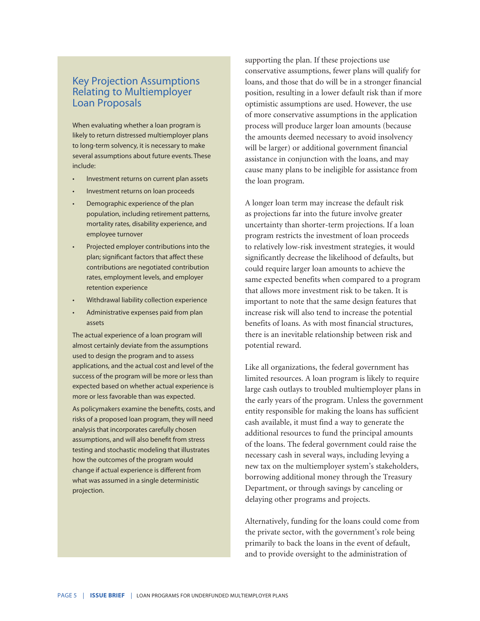### Key Projection Assumptions Relating to Multiemployer Loan Proposals

When evaluating whether a loan program is likely to return distressed multiemployer plans to long-term solvency, it is necessary to make several assumptions about future events. These include:

- Investment returns on current plan assets
- Investment returns on loan proceeds
- Demographic experience of the plan population, including retirement patterns, mortality rates, disability experience, and employee turnover
- Projected employer contributions into the plan; significant factors that affect these contributions are negotiated contribution rates, employment levels, and employer retention experience
- Withdrawal liability collection experience
- Administrative expenses paid from plan assets

The actual experience of a loan program will almost certainly deviate from the assumptions used to design the program and to assess applications, and the actual cost and level of the success of the program will be more or less than expected based on whether actual experience is more or less favorable than was expected.

As policymakers examine the benefits, costs, and risks of a proposed loan program, they will need analysis that incorporates carefully chosen assumptions, and will also benefit from stress testing and stochastic modeling that illustrates how the outcomes of the program would change if actual experience is different from what was assumed in a single deterministic projection.

supporting the plan. If these projections use conservative assumptions, fewer plans will qualify for loans, and those that do will be in a stronger financial position, resulting in a lower default risk than if more optimistic assumptions are used. However, the use of more conservative assumptions in the application process will produce larger loan amounts (because the amounts deemed necessary to avoid insolvency will be larger) or additional government financial assistance in conjunction with the loans, and may cause many plans to be ineligible for assistance from the loan program.

A longer loan term may increase the default risk as projections far into the future involve greater uncertainty than shorter-term projections. If a loan program restricts the investment of loan proceeds to relatively low-risk investment strategies, it would significantly decrease the likelihood of defaults, but could require larger loan amounts to achieve the same expected benefits when compared to a program that allows more investment risk to be taken. It is important to note that the same design features that increase risk will also tend to increase the potential benefits of loans. As with most financial structures, there is an inevitable relationship between risk and potential reward.

Like all organizations, the federal government has limited resources. A loan program is likely to require large cash outlays to troubled multiemployer plans in the early years of the program. Unless the government entity responsible for making the loans has sufficient cash available, it must find a way to generate the additional resources to fund the principal amounts of the loans. The federal government could raise the necessary cash in several ways, including levying a new tax on the multiemployer system's stakeholders, borrowing additional money through the Treasury Department, or through savings by canceling or delaying other programs and projects.

Alternatively, funding for the loans could come from the private sector, with the government's role being primarily to back the loans in the event of default, and to provide oversight to the administration of